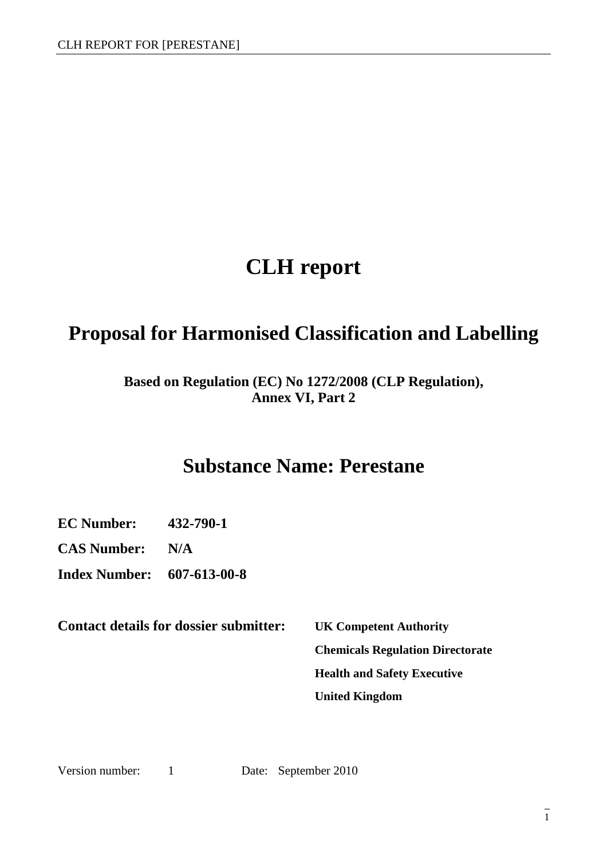# **CLH report**

# **Proposal for Harmonised Classification and Labelling**

### **Based on Regulation (EC) No 1272/2008 (CLP Regulation), Annex VI, Part 2**

# **Substance Name: Perestane**

**EC Number: 432-790-1**

**CAS Number: N/A** 

**Index Number: 607-613-00-8**

**Contact details for dossier submitter: UK Competent Authority** 

**Chemicals Regulation Directorate Health and Safety Executive United Kingdom** 

Version number: 1 Date: September 2010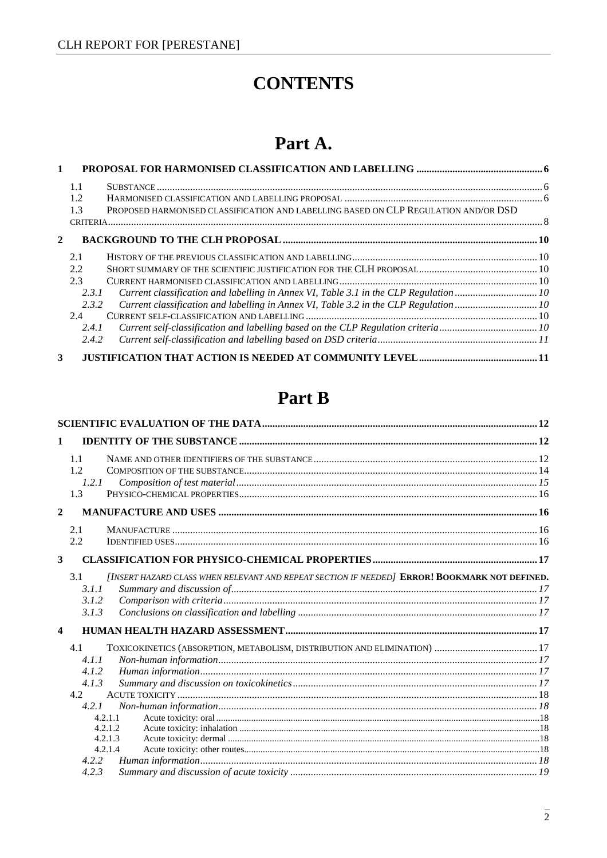# **CONTENTS**

# Part A.

| $\mathbf{1}$            |       |                                                                                      |  |  |
|-------------------------|-------|--------------------------------------------------------------------------------------|--|--|
|                         | 1.1   |                                                                                      |  |  |
|                         | 1.2   |                                                                                      |  |  |
|                         | 1.3   | PROPOSED HARMONISED CLASSIFICATION AND LABELLING BASED ON CLP REGULATION AND/OR DSD  |  |  |
|                         |       |                                                                                      |  |  |
| $\mathbf{2}$            |       |                                                                                      |  |  |
|                         | 2.1   |                                                                                      |  |  |
|                         | 2.2   |                                                                                      |  |  |
|                         | 2.3   |                                                                                      |  |  |
|                         | 2.3.1 | Current classification and labelling in Annex VI, Table 3.1 in the CLP Regulation 10 |  |  |
|                         | 2.3.2 |                                                                                      |  |  |
|                         | 2.4   |                                                                                      |  |  |
|                         | 2.4.1 | Current self-classification and labelling based on the CLP Regulation criteria10     |  |  |
|                         | 2.4.2 |                                                                                      |  |  |
| $\overline{\mathbf{3}}$ |       |                                                                                      |  |  |

# Part B

| 1                              |                                                                                               |  |
|--------------------------------|-----------------------------------------------------------------------------------------------|--|
| 1.1<br>1.2.<br>1.2.1<br>1.3    |                                                                                               |  |
| $\overline{2}$                 |                                                                                               |  |
| 2.1<br>2.2                     |                                                                                               |  |
| $\overline{\mathbf{3}}$        |                                                                                               |  |
| 3.1<br>3.1.1<br>3.1.2<br>3.1.3 | [INSERT HAZARD CLASS WHEN RELEVANT AND REPEAT SECTION IF NEEDED] ERROR! BOOKMARK NOT DEFINED. |  |
| $\overline{\mathbf{4}}$        |                                                                                               |  |
| 4.1<br>4.1.1<br>4.1.2          |                                                                                               |  |
| 4.1.3<br>4.2                   |                                                                                               |  |
| 4.2.1                          | 4.2.1.1<br>4.2.1.2                                                                            |  |
| 4.2.2                          | 4.2.1.3<br>4.2.1.4                                                                            |  |
| 4.2.3                          |                                                                                               |  |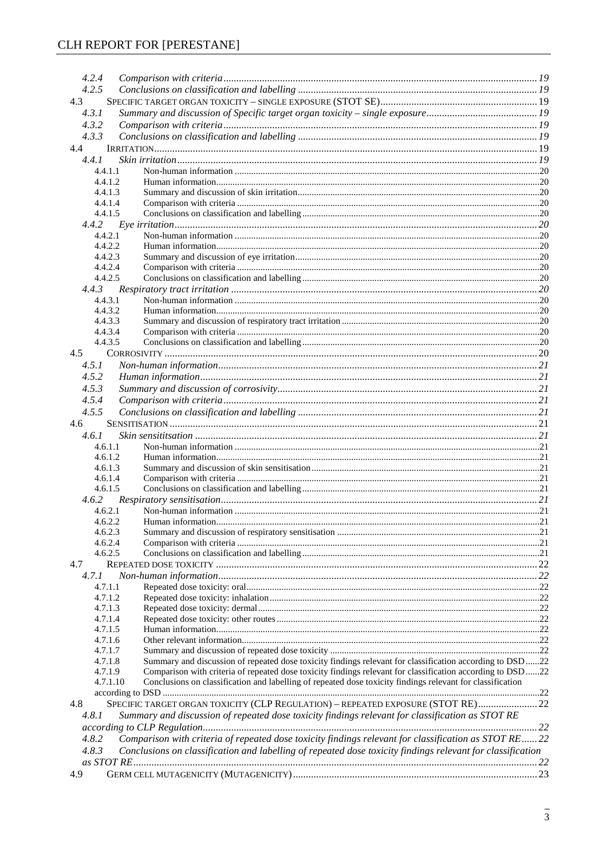| 4.2.4              |                                                                                                            |    |
|--------------------|------------------------------------------------------------------------------------------------------------|----|
| 4.2.5              |                                                                                                            |    |
| 4.3                |                                                                                                            |    |
| 4.3.1              |                                                                                                            |    |
| 4.3.2              |                                                                                                            |    |
| 4.3.3              |                                                                                                            |    |
| 4.4                |                                                                                                            |    |
| 4.4.1              |                                                                                                            |    |
| 4.4.1.1            |                                                                                                            |    |
| 4.4.1.2            |                                                                                                            |    |
| 4.4.1.3            |                                                                                                            |    |
| 4.4.1.4<br>4.4.1.5 |                                                                                                            |    |
|                    |                                                                                                            |    |
| 4.4.2.1            |                                                                                                            |    |
| 4.4.2.2            |                                                                                                            |    |
| 4.4.2.3            |                                                                                                            |    |
| 4.4.2.4            |                                                                                                            |    |
| 4.4.2.5            |                                                                                                            |    |
| 4.4.3              |                                                                                                            |    |
| 4.4.3.1            |                                                                                                            |    |
| 4.4.3.2            |                                                                                                            |    |
| 4.4.3.3            |                                                                                                            |    |
| 4.4.3.4            |                                                                                                            |    |
| 4.4.3.5            |                                                                                                            |    |
| 4.5                |                                                                                                            |    |
| 4.5.1              |                                                                                                            |    |
| 4.5.2              |                                                                                                            |    |
| 4.5.3              |                                                                                                            |    |
| 4.5.4              |                                                                                                            |    |
| 4.5.5              |                                                                                                            |    |
| 4.6                |                                                                                                            |    |
| 4.6.1              |                                                                                                            |    |
| 4.6.1.1            |                                                                                                            |    |
| 4.6.1.2            |                                                                                                            |    |
| 4.6.1.3<br>4.6.1.4 |                                                                                                            |    |
| 4.6.1.5            |                                                                                                            |    |
| 4.6.2              |                                                                                                            |    |
| 4.6.2.1            |                                                                                                            |    |
| 4.6.2.2            |                                                                                                            |    |
| 4.6.2.3            |                                                                                                            |    |
| 4.6.2.4            |                                                                                                            |    |
| 4.6.2.5            |                                                                                                            |    |
| 4.7                |                                                                                                            |    |
| 4.7.1              |                                                                                                            |    |
| 4.7.1.1            |                                                                                                            |    |
| 4.7.1.2            |                                                                                                            |    |
| 4.7.1.3            |                                                                                                            |    |
| 4.7.1.4<br>4.7.1.5 |                                                                                                            |    |
| 4.7.1.6            |                                                                                                            |    |
| 4.7.1.7            |                                                                                                            |    |
| 4.7.1.8            | Summary and discussion of repeated dose toxicity findings relevant for classification according to DSD22   |    |
| 4.7.1.9            | Comparison with criteria of repeated dose toxicity findings relevant for classification according to DSD22 |    |
| 4.7.1.10           | Conclusions on classification and labelling of repeated dose toxicity findings relevant for classification |    |
|                    |                                                                                                            |    |
| 4.8                | SPECIFIC TARGET ORGAN TOXICITY (CLP REGULATION) - REPEATED EXPOSURE (STOT RE) 22                           |    |
| 4.8.1              | Summary and discussion of repeated dose toxicity findings relevant for classification as STOT RE           |    |
|                    |                                                                                                            |    |
| 4.8.2              | Comparison with criteria of repeated dose toxicity findings relevant for classification as STOT RE 22      |    |
| 4.8.3              | Conclusions on classification and labelling of repeated dose toxicity findings relevant for classification |    |
|                    |                                                                                                            |    |
| 4.9                |                                                                                                            | 23 |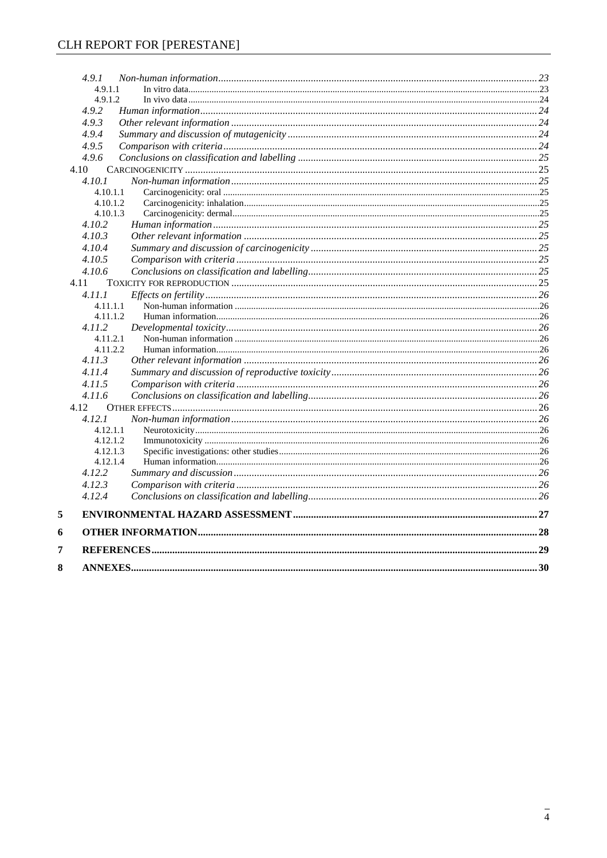|   | 4.9.1    |  |
|---|----------|--|
|   | 4.9.1.1  |  |
|   | 4.9.1.2  |  |
|   | 4.9.2    |  |
|   | 4.9.3    |  |
|   | 4.9.4    |  |
|   | 4.9.5    |  |
|   | 4.9.6    |  |
|   | 4.10     |  |
|   | 4.10.1   |  |
|   | 4.10.1.1 |  |
|   | 4.10.1.2 |  |
|   | 4.10.1.3 |  |
|   | 4.10.2   |  |
|   | 4.10.3   |  |
|   | 4.10.4   |  |
|   | 4.10.5   |  |
|   | 4.10.6   |  |
|   | 4.11     |  |
|   | 4.11.1   |  |
|   | 4.11.1.1 |  |
|   | 4.11.1.2 |  |
|   | 4.11.2   |  |
|   | 4.11.2.1 |  |
|   | 4.11.2.2 |  |
|   | 4.11.3   |  |
|   | 4.11.4   |  |
|   | 4.11.5   |  |
|   | 4.11.6   |  |
|   | 4.12     |  |
|   | 4.12.1   |  |
|   | 4.12.1.1 |  |
|   | 4.12.1.2 |  |
|   | 4.12.1.3 |  |
|   | 4.12.1.4 |  |
|   | 4.12.2   |  |
|   | 4.12.3   |  |
|   | 4.12.4   |  |
| 5 |          |  |
| 6 |          |  |
| 7 |          |  |
| 8 |          |  |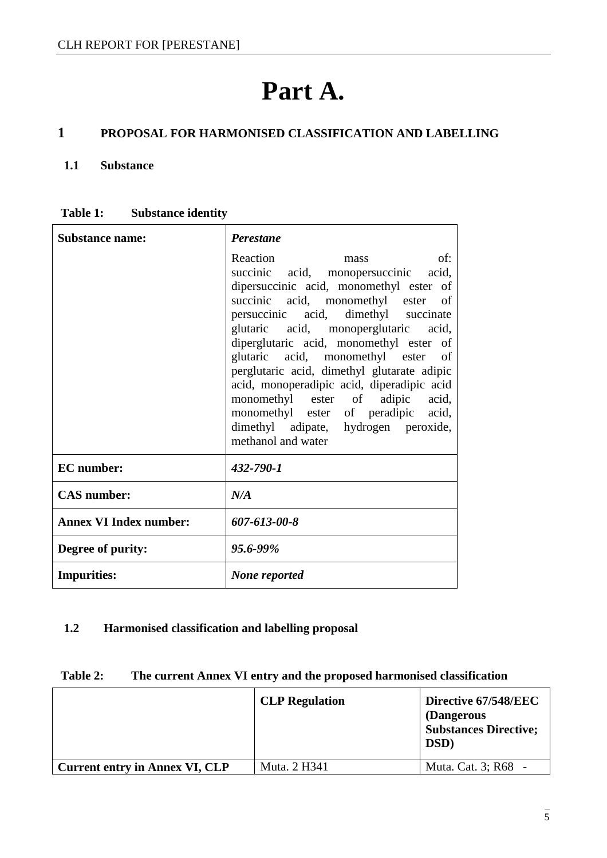# **Part A.**

## **1 PROPOSAL FOR HARMONISED CLASSIFICATION AND LABELLING**

#### **1.1 Substance**

| Substance name:               | <b>Perestane</b>                                                                                                                                                                                                                                                                                                                                                                                                                                                                                                                                                      |  |  |
|-------------------------------|-----------------------------------------------------------------------------------------------------------------------------------------------------------------------------------------------------------------------------------------------------------------------------------------------------------------------------------------------------------------------------------------------------------------------------------------------------------------------------------------------------------------------------------------------------------------------|--|--|
|                               | Reaction<br>of:<br>mass<br>succinic acid, monopersuccinic acid,<br>dipersuccinic acid, monomethyl ester of<br>succinic acid, monomethyl ester<br><sub>of</sub><br>persuccinic acid, dimethyl succinate<br>glutaric acid, monoperglutaric acid,<br>diperglutaric acid, monomethyl ester of<br>glutaric acid, monomethyl ester of<br>perglutaric acid, dimethyl glutarate adipic<br>acid, monoperadipic acid, diperadipic acid<br>monomethyl ester of adipic acid,<br>monomethyl ester of peradipic acid,<br>dimethyl adipate, hydrogen peroxide,<br>methanol and water |  |  |
| <b>EC</b> number:             | 432-790-1                                                                                                                                                                                                                                                                                                                                                                                                                                                                                                                                                             |  |  |
| <b>CAS</b> number:            | N/A                                                                                                                                                                                                                                                                                                                                                                                                                                                                                                                                                                   |  |  |
| <b>Annex VI Index number:</b> | 607-613-00-8                                                                                                                                                                                                                                                                                                                                                                                                                                                                                                                                                          |  |  |
| Degree of purity:             | 95.6-99%                                                                                                                                                                                                                                                                                                                                                                                                                                                                                                                                                              |  |  |
| <b>Impurities:</b>            | None reported                                                                                                                                                                                                                                                                                                                                                                                                                                                                                                                                                         |  |  |

#### **1.2 Harmonised classification and labelling proposal**

| Table 2: | The current Annex VI entry and the proposed harmonised classification |  |  |
|----------|-----------------------------------------------------------------------|--|--|
|----------|-----------------------------------------------------------------------|--|--|

|                                       | <b>CLP</b> Regulation | Directive 67/548/EEC<br>(Dangerous<br><b>Substances Directive;</b><br>DSD) |
|---------------------------------------|-----------------------|----------------------------------------------------------------------------|
| <b>Current entry in Annex VI, CLP</b> | Muta. 2 H341          | <b>Muta. Cat. 3; R68</b>                                                   |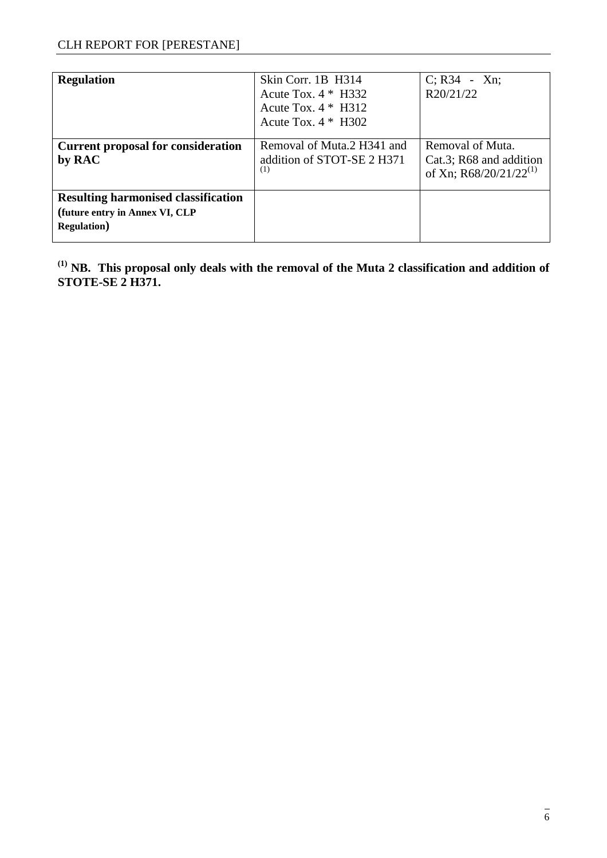| <b>Regulation</b>                                                                                   | Skin Corr. 1B H314<br>Acute Tox. $4 * H332$<br>Acute Tox. $4 * H312$<br>Acute Tox. $4 * H302$ | $C; R34 - Xn;$<br>R20/21/22                                                       |
|-----------------------------------------------------------------------------------------------------|-----------------------------------------------------------------------------------------------|-----------------------------------------------------------------------------------|
| <b>Current proposal for consideration</b><br>by RAC                                                 | Removal of Muta.2 H341 and<br>addition of STOT-SE 2 H371<br>(1)                               | Removal of Muta.<br>Cat.3; R68 and addition<br>of Xn; R68/20/21/22 <sup>(1)</sup> |
| <b>Resulting harmonised classification</b><br>(future entry in Annex VI, CLP<br><b>Regulation</b> ) |                                                                                               |                                                                                   |

**(1) NB. This proposal only deals with the removal of the Muta 2 classification and addition of STOTE-SE 2 H371.**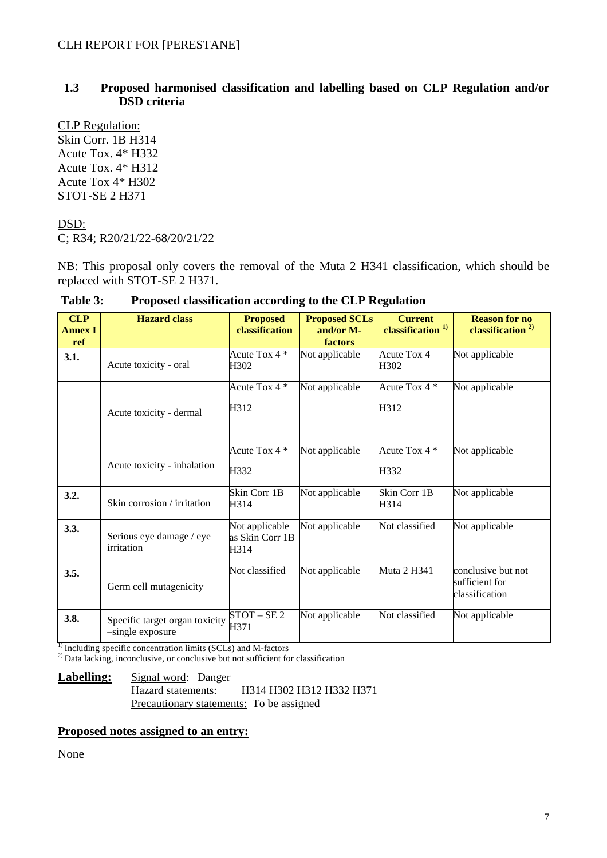#### **1.3 Proposed harmonised classification and labelling based on CLP Regulation and/or DSD criteria**

CLP Regulation: Skin Corr. 1B H314 Acute Tox. 4\* H332 Acute Tox. 4\* H312 Acute Tox 4\* H302 STOT-SE 2 H371

#### DSD:

C; R34; R20/21/22-68/20/21/22

NB: This proposal only covers the removal of the Muta 2 H341 classification, which should be replaced with STOT-SE 2 H371.

| <b>CLP</b><br><b>Annex I</b><br>ref | <b>Hazard class</b>                                | <b>Proposed</b><br>classification         | <b>Proposed SCLs</b><br>and/or M-<br>factors | <b>Current</b><br>classification <sup>1)</sup> | <b>Reason for no</b><br>classification $^{2)}$         |
|-------------------------------------|----------------------------------------------------|-------------------------------------------|----------------------------------------------|------------------------------------------------|--------------------------------------------------------|
| 3.1.                                | Acute toxicity - oral                              | Acute Tox 4 *<br>H302                     | Not applicable                               | Acute Tox 4<br>H302                            | Not applicable                                         |
|                                     | Acute toxicity - dermal                            | Acute Tox 4 *<br>H312                     | Not applicable                               | Acute Tox 4 *<br>H312                          | Not applicable                                         |
|                                     | Acute toxicity - inhalation                        | Acute Tox 4 *<br>H332                     | Not applicable                               | Acute Tox 4 *<br>H332                          | Not applicable                                         |
| 3.2.                                | Skin corrosion / irritation                        | Skin Corr 1B<br>H314                      | Not applicable                               | Skin Corr 1B<br>H314                           | Not applicable                                         |
| 3.3.                                | Serious eye damage / eye<br>irritation             | Not applicable<br>as Skin Corr 1B<br>H314 | Not applicable                               | Not classified                                 | Not applicable                                         |
| 3.5.                                | Germ cell mutagenicity                             | Not classified                            | Not applicable                               | Muta 2 H341                                    | conclusive but not<br>sufficient for<br>classification |
| 3.8.                                | Specific target organ toxicity<br>-single exposure | $STOT - SE2$<br>H371                      | Not applicable                               | Not classified                                 | Not applicable                                         |

| Table 3: | Proposed classification according to the CLP Regulation |  |  |
|----------|---------------------------------------------------------|--|--|
|----------|---------------------------------------------------------|--|--|

 $<sup>1)</sup>$  Including specific concentration limits (SCLs) and M-factors</sup>

<sup>2)</sup> Data lacking, inconclusive, or conclusive but not sufficient for classification

#### **Labelling:** Signal word: Danger Hazard statements: H314 H302 H312 H332 H371 Precautionary statements: To be assigned

#### **Proposed notes assigned to an entry:**

None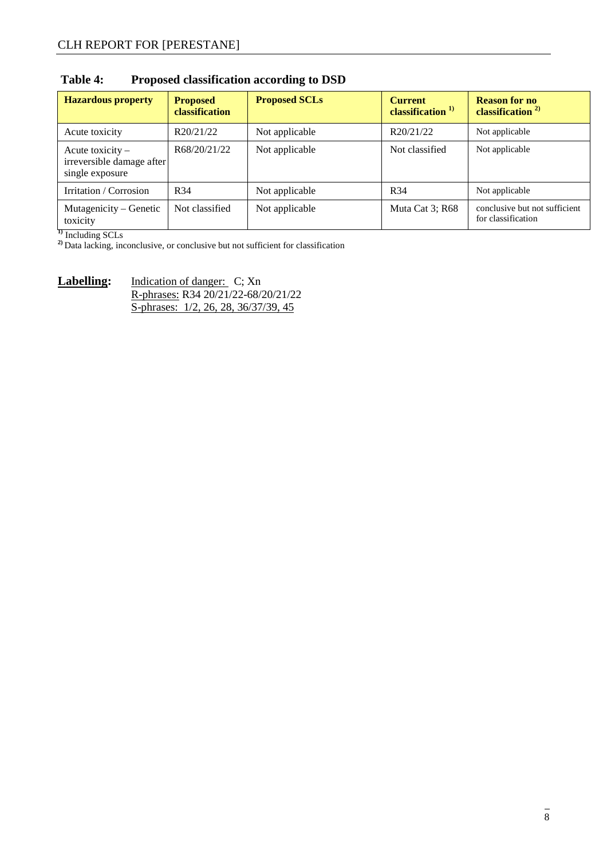| <b>Hazardous property</b>                                        | <b>Proposed</b><br><b>classification</b> | <b>Proposed SCLs</b> | <b>Current</b><br>classification <sup>1)</sup> | <b>Reason for no</b><br>classification $2^{2}$      |
|------------------------------------------------------------------|------------------------------------------|----------------------|------------------------------------------------|-----------------------------------------------------|
| Acute toxicity                                                   | R20/21/22                                | Not applicable       | R20/21/22                                      | Not applicable                                      |
| Acute toxicity -<br>irreversible damage after<br>single exposure | R68/20/21/22                             | Not applicable       | Not classified                                 | Not applicable                                      |
| Irritation / Corrosion                                           | R <sub>34</sub>                          | Not applicable       | R <sub>34</sub>                                | Not applicable                                      |
| Mutagenicity – Genetic<br>toxicity                               | Not classified                           | Not applicable       | Muta Cat 3; R68                                | conclusive but not sufficient<br>for classification |

### **Table 4: Proposed classification according to DSD**

**1)** Including SCLs

**2)** Data lacking, inconclusive, or conclusive but not sufficient for classification

Labelling: Indication of danger: C; Xn R-phrases: R34 20/21/22-68/20/21/22 S-phrases: 1/2, 26, 28, 36/37/39, 45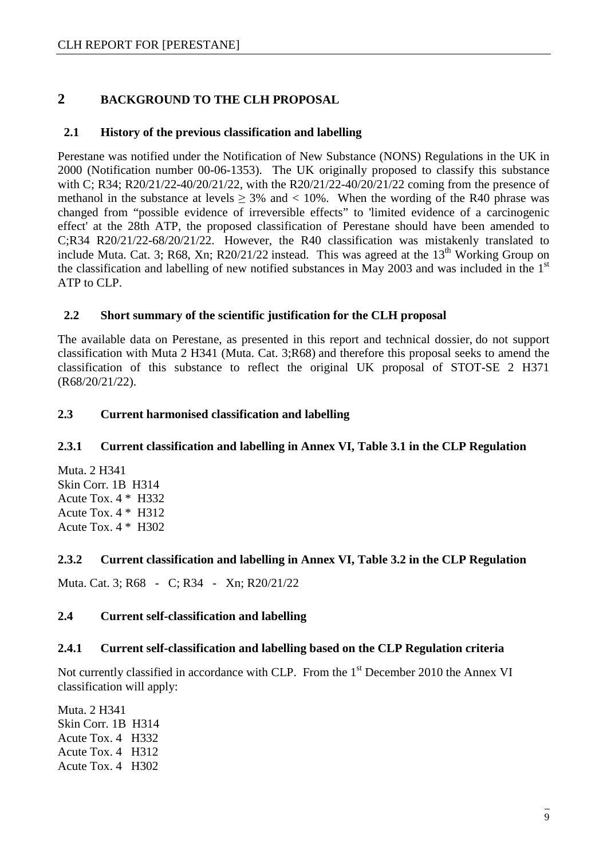#### **2 BACKGROUND TO THE CLH PROPOSAL**

#### **2.1 History of the previous classification and labelling**

Perestane was notified under the Notification of New Substance (NONS) Regulations in the UK in 2000 (Notification number 00-06-1353). The UK originally proposed to classify this substance with C; R34; R20/21/22-40/20/21/22, with the R20/21/22-40/20/21/22 coming from the presence of methanol in the substance at levels  $\geq$  3% and  $\lt$  10%. When the wording of the R40 phrase was changed from "possible evidence of irreversible effects" to 'limited evidence of a carcinogenic effect' at the 28th ATP, the proposed classification of Perestane should have been amended to C;R34 R20/21/22-68/20/21/22. However, the R40 classification was mistakenly translated to include Muta. Cat. 3; R68, Xn; R20/21/22 instead. This was agreed at the  $13<sup>th</sup>$  Working Group on the classification and labelling of new notified substances in May 2003 and was included in the  $1<sup>st</sup>$ ATP to CLP.

#### **2.2 Short summary of the scientific justification for the CLH proposal**

The available data on Perestane, as presented in this report and technical dossier, do not support classification with Muta 2 H341 (Muta. Cat. 3;R68) and therefore this proposal seeks to amend the classification of this substance to reflect the original UK proposal of STOT-SE 2 H371 (R68/20/21/22).

#### **2.3 Current harmonised classification and labelling**

#### **2.3.1 Current classification and labelling in Annex VI, Table 3.1 in the CLP Regulation**

Muta. 2 H341 Skin Corr. 1B H314 Acute Tox. 4 \* H332 Acute Tox. 4 \* H312 Acute Tox. 4 \* H302

#### **2.3.2 Current classification and labelling in Annex VI, Table 3.2 in the CLP Regulation**

Muta. Cat. 3; R68 - C; R34 - Xn; R20/21/22

#### **2.4 Current self-classification and labelling**

#### **2.4.1 Current self-classification and labelling based on the CLP Regulation criteria**

Not currently classified in accordance with CLP. From the 1<sup>st</sup> December 2010 the Annex VI classification will apply:

Muta. 2 H341 Skin Corr. 1B H314 Acute Tox. 4 H332 Acute Tox. 4 H312 Acute Tox. 4 H302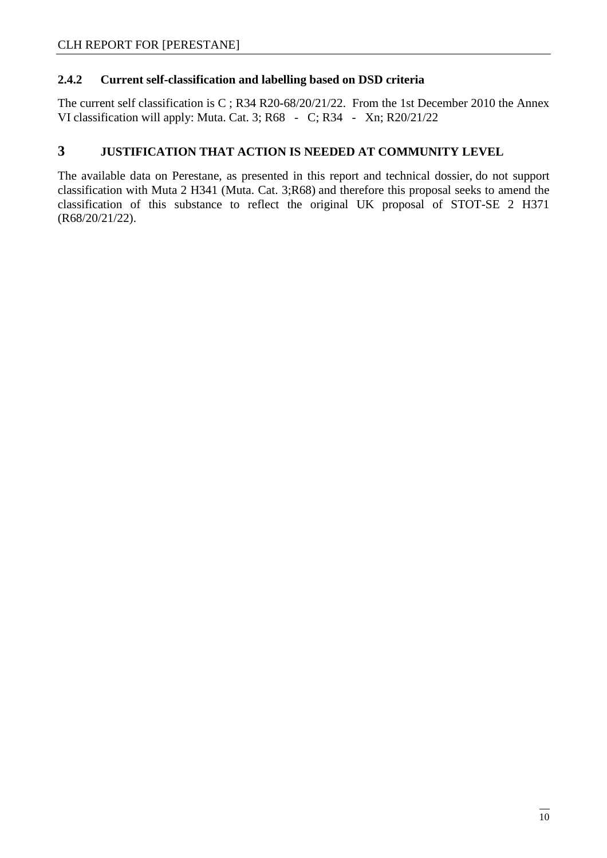#### **2.4.2 Current self-classification and labelling based on DSD criteria**

The current self classification is C ; R34 R20-68/20/21/22. From the 1st December 2010 the Annex VI classification will apply: Muta. Cat. 3; R68 - C; R34 - Xn; R20/21/22

#### **3 JUSTIFICATION THAT ACTION IS NEEDED AT COMMUNITY LEVEL**

The available data on Perestane, as presented in this report and technical dossier, do not support classification with Muta 2 H341 (Muta. Cat. 3;R68) and therefore this proposal seeks to amend the classification of this substance to reflect the original UK proposal of STOT-SE 2 H371 (R68/20/21/22).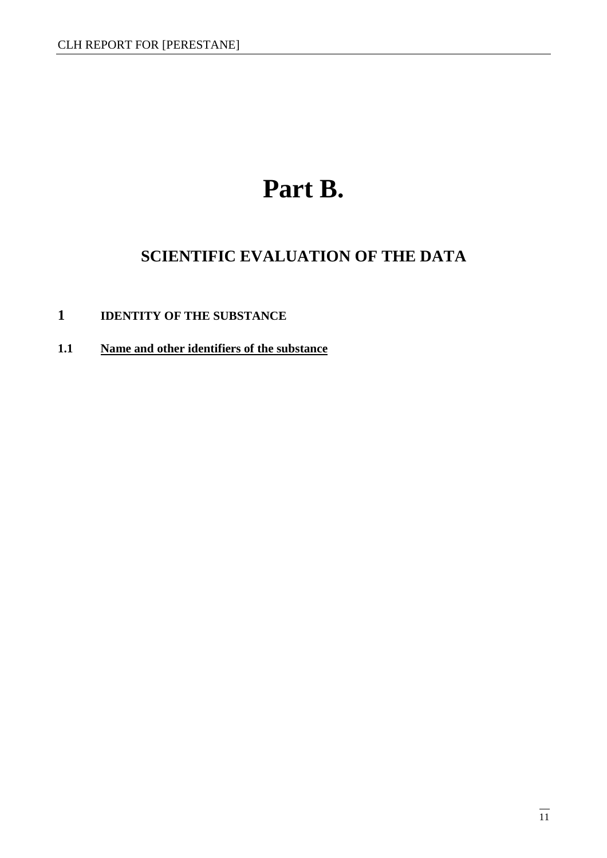# **Part B.**

# **SCIENTIFIC EVALUATION OF THE DATA**

## **1 IDENTITY OF THE SUBSTANCE**

**1.1 Name and other identifiers of the substance**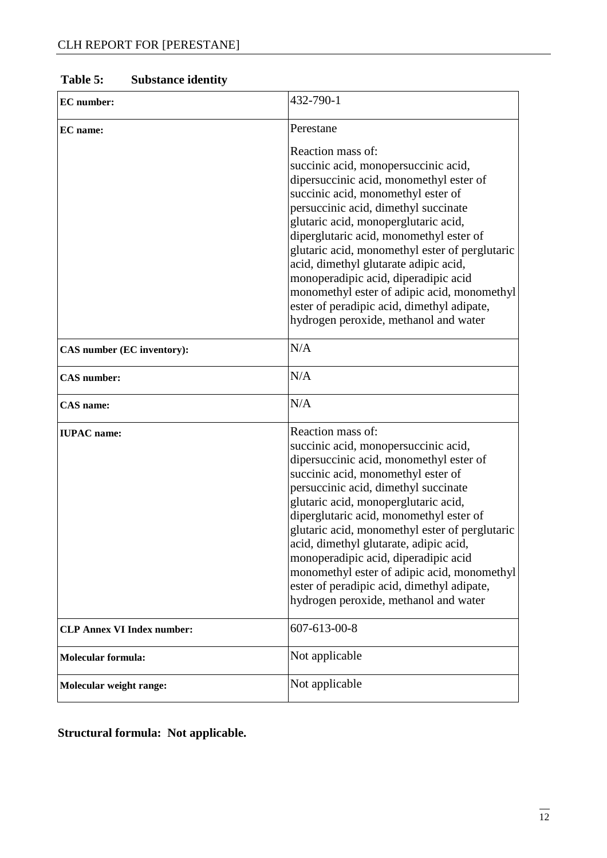| <b>EC</b> number:                 | 432-790-1                                                                                                                                                                                                                                                                                                                                                                                                                                                                                                                                       |  |  |
|-----------------------------------|-------------------------------------------------------------------------------------------------------------------------------------------------------------------------------------------------------------------------------------------------------------------------------------------------------------------------------------------------------------------------------------------------------------------------------------------------------------------------------------------------------------------------------------------------|--|--|
| <b>EC</b> name:                   | Perestane                                                                                                                                                                                                                                                                                                                                                                                                                                                                                                                                       |  |  |
|                                   | Reaction mass of:<br>succinic acid, monopersuccinic acid,<br>dipersuccinic acid, monomethyl ester of<br>succinic acid, monomethyl ester of<br>persuccinic acid, dimethyl succinate<br>glutaric acid, monoperglutaric acid,<br>diperglutaric acid, monomethyl ester of<br>glutaric acid, monomethyl ester of perglutaric<br>acid, dimethyl glutarate adipic acid,<br>monoperadipic acid, diperadipic acid<br>monomethyl ester of adipic acid, monomethyl<br>ester of peradipic acid, dimethyl adipate,<br>hydrogen peroxide, methanol and water  |  |  |
| CAS number (EC inventory):        | N/A                                                                                                                                                                                                                                                                                                                                                                                                                                                                                                                                             |  |  |
| <b>CAS</b> number:                | N/A                                                                                                                                                                                                                                                                                                                                                                                                                                                                                                                                             |  |  |
| CAS name:                         | N/A                                                                                                                                                                                                                                                                                                                                                                                                                                                                                                                                             |  |  |
| <b>IUPAC</b> name:                | Reaction mass of:<br>succinic acid, monopersuccinic acid,<br>dipersuccinic acid, monomethyl ester of<br>succinic acid, monomethyl ester of<br>persuccinic acid, dimethyl succinate<br>glutaric acid, monoperglutaric acid,<br>diperglutaric acid, monomethyl ester of<br>glutaric acid, monomethyl ester of perglutaric<br>acid, dimethyl glutarate, adipic acid,<br>monoperadipic acid, diperadipic acid<br>monomethyl ester of adipic acid, monomethyl<br>ester of peradipic acid, dimethyl adipate,<br>hydrogen peroxide, methanol and water |  |  |
| <b>CLP Annex VI Index number:</b> | 607-613-00-8                                                                                                                                                                                                                                                                                                                                                                                                                                                                                                                                    |  |  |
| <b>Molecular formula:</b>         | Not applicable                                                                                                                                                                                                                                                                                                                                                                                                                                                                                                                                  |  |  |
| Molecular weight range:           | Not applicable                                                                                                                                                                                                                                                                                                                                                                                                                                                                                                                                  |  |  |

## **Table 5: Substance identity**

**Structural formula: Not applicable.**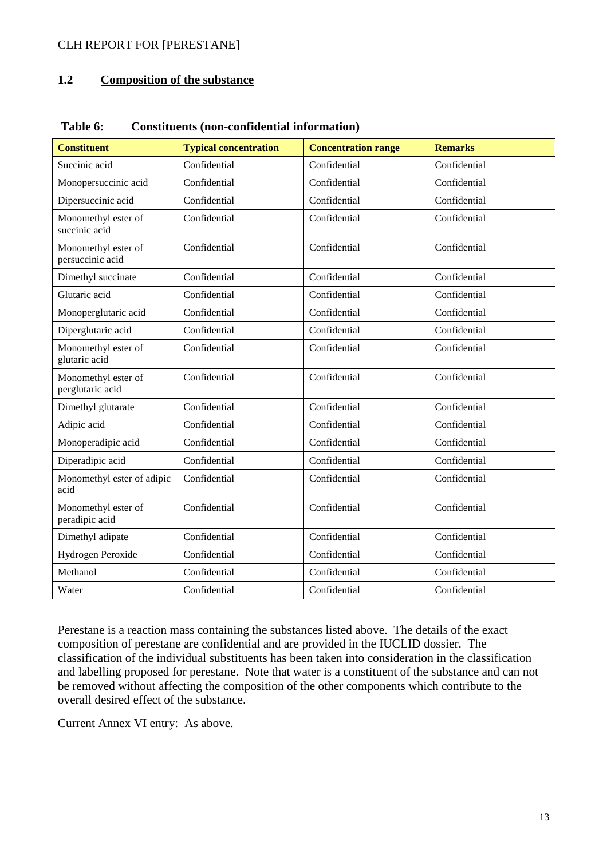#### **1.2 Composition of the substance**

| <b>Constituent</b>                      | <b>Typical concentration</b> | <b>Concentration range</b> | <b>Remarks</b> |
|-----------------------------------------|------------------------------|----------------------------|----------------|
| Succinic acid                           | Confidential                 | Confidential               | Confidential   |
| Monopersuccinic acid                    | Confidential                 | Confidential               | Confidential   |
| Dipersuccinic acid                      | Confidential                 | Confidential               | Confidential   |
| Monomethyl ester of<br>succinic acid    | Confidential                 | Confidential               | Confidential   |
| Monomethyl ester of<br>persuccinic acid | Confidential                 | Confidential               | Confidential   |
| Dimethyl succinate                      | Confidential                 | Confidential               | Confidential   |
| Glutaric acid                           | Confidential                 | Confidential               | Confidential   |
| Monoperglutaric acid                    | Confidential                 | Confidential               | Confidential   |
| Diperglutaric acid                      | Confidential                 | Confidential               | Confidential   |
| Monomethyl ester of<br>glutaric acid    | Confidential                 | Confidential               | Confidential   |
| Monomethyl ester of<br>perglutaric acid | Confidential                 | Confidential               | Confidential   |
| Dimethyl glutarate                      | Confidential                 | Confidential               | Confidential   |
| Adipic acid                             | Confidential                 | Confidential               | Confidential   |
| Monoperadipic acid                      | Confidential                 | Confidential               | Confidential   |
| Diperadipic acid                        | Confidential                 | Confidential               | Confidential   |
| Monomethyl ester of adipic<br>acid      | Confidential                 | Confidential               | Confidential   |
| Monomethyl ester of<br>peradipic acid   | Confidential                 | Confidential               | Confidential   |
| Dimethyl adipate                        | Confidential                 | Confidential               | Confidential   |
| Hydrogen Peroxide                       | Confidential                 | Confidential               | Confidential   |
| Methanol                                | Confidential                 | Confidential               | Confidential   |
| Water                                   | Confidential                 | Confidential               | Confidential   |

#### **Table 6: Constituents (non-confidential information)**

Perestane is a reaction mass containing the substances listed above. The details of the exact composition of perestane are confidential and are provided in the IUCLID dossier. The classification of the individual substituents has been taken into consideration in the classification and labelling proposed for perestane. Note that water is a constituent of the substance and can not be removed without affecting the composition of the other components which contribute to the overall desired effect of the substance.

Current Annex VI entry: As above.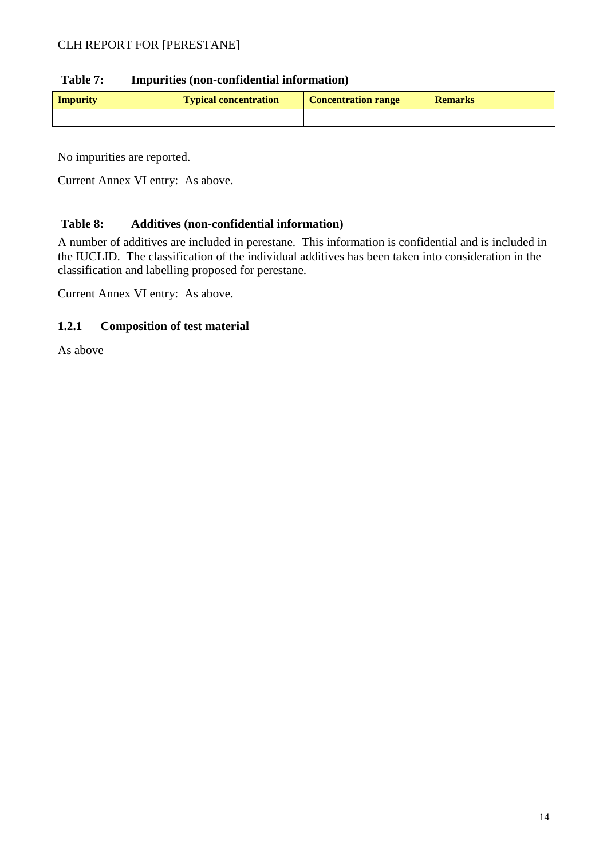#### **Table 7: Impurities (non-confidential information)**

| <b>Impurity</b> | <b>Typical concentration</b> | <b>Concentration range</b> | <b>Remarks</b> |
|-----------------|------------------------------|----------------------------|----------------|
|                 |                              |                            |                |

No impurities are reported.

Current Annex VI entry: As above.

#### **Table 8: Additives (non-confidential information)**

A number of additives are included in perestane. This information is confidential and is included in the IUCLID. The classification of the individual additives has been taken into consideration in the classification and labelling proposed for perestane.

Current Annex VI entry: As above.

#### **1.2.1 Composition of test material**

As above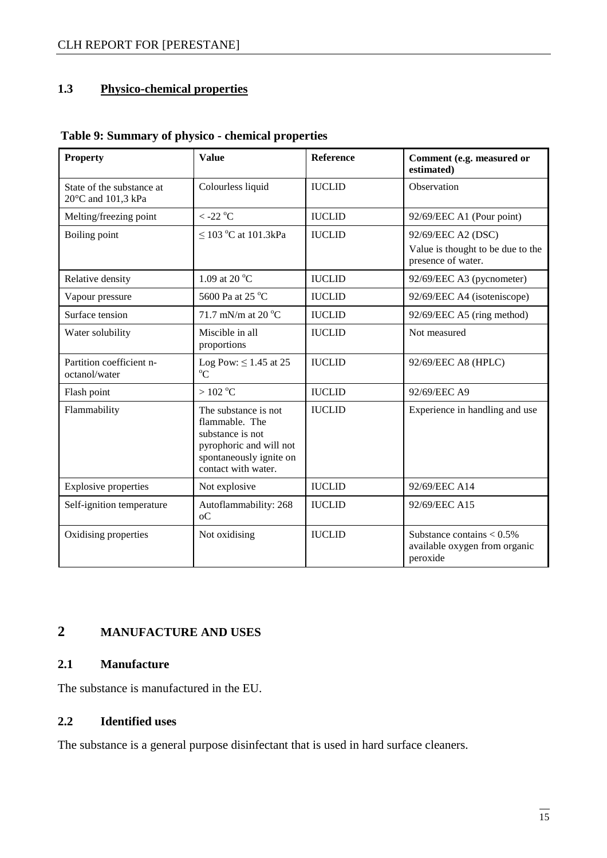## **1.3 Physico-chemical properties**

| <b>Property</b>                                 | <b>Value</b>                                                                                                                            | <b>Reference</b> | Comment (e.g. measured or<br>estimated)                                       |
|-------------------------------------------------|-----------------------------------------------------------------------------------------------------------------------------------------|------------------|-------------------------------------------------------------------------------|
| State of the substance at<br>20°C and 101,3 kPa | Colourless liquid                                                                                                                       | <b>IUCLID</b>    | Observation                                                                   |
| Melting/freezing point                          | $<$ -22 $^{\rm o} \rm C$                                                                                                                | <b>IUCLID</b>    | 92/69/EEC A1 (Pour point)                                                     |
| Boiling point                                   | $\leq$ 103 °C at 101.3kPa                                                                                                               | <b>IUCLID</b>    | 92/69/EEC A2 (DSC)<br>Value is thought to be due to the<br>presence of water. |
| Relative density                                | 1.09 at 20 °C                                                                                                                           | <b>IUCLID</b>    | 92/69/EEC A3 (pycnometer)                                                     |
| Vapour pressure                                 | 5600 Pa at 25 °C                                                                                                                        | <b>IUCLID</b>    | 92/69/EEC A4 (isoteniscope)                                                   |
| Surface tension                                 | 71.7 mN/m at 20 $^{\circ}$ C                                                                                                            | <b>IUCLID</b>    | 92/69/EEC A5 (ring method)                                                    |
| Water solubility                                | Miscible in all<br>proportions                                                                                                          | <b>IUCLID</b>    | Not measured                                                                  |
| Partition coefficient n-<br>octanol/water       | Log Pow: $\leq$ 1.45 at 25<br>$^{\circ}C$                                                                                               | <b>IUCLID</b>    | 92/69/EEC A8 (HPLC)                                                           |
| Flash point                                     | $>102\ ^{\mathrm{o}}\mathrm{C}$                                                                                                         | <b>IUCLID</b>    | 92/69/EEC A9                                                                  |
| Flammability                                    | The substance is not<br>flammable. The<br>substance is not<br>pyrophoric and will not<br>spontaneously ignite on<br>contact with water. | <b>IUCLID</b>    | Experience in handling and use                                                |
| <b>Explosive properties</b>                     | Not explosive                                                                                                                           | <b>IUCLID</b>    | 92/69/EEC A14                                                                 |
| Self-ignition temperature                       | Autoflammability: 268<br>$_{0}C$                                                                                                        | <b>IUCLID</b>    | 92/69/EEC A15                                                                 |
| Oxidising properties                            | Not oxidising                                                                                                                           | <b>IUCLID</b>    | Substance contains $< 0.5\%$<br>available oxygen from organic<br>peroxide     |

#### **Table 9: Summary of physico - chemical properties**

## **2 MANUFACTURE AND USES**

#### **2.1 Manufacture**

The substance is manufactured in the EU.

#### **2.2 Identified uses**

The substance is a general purpose disinfectant that is used in hard surface cleaners.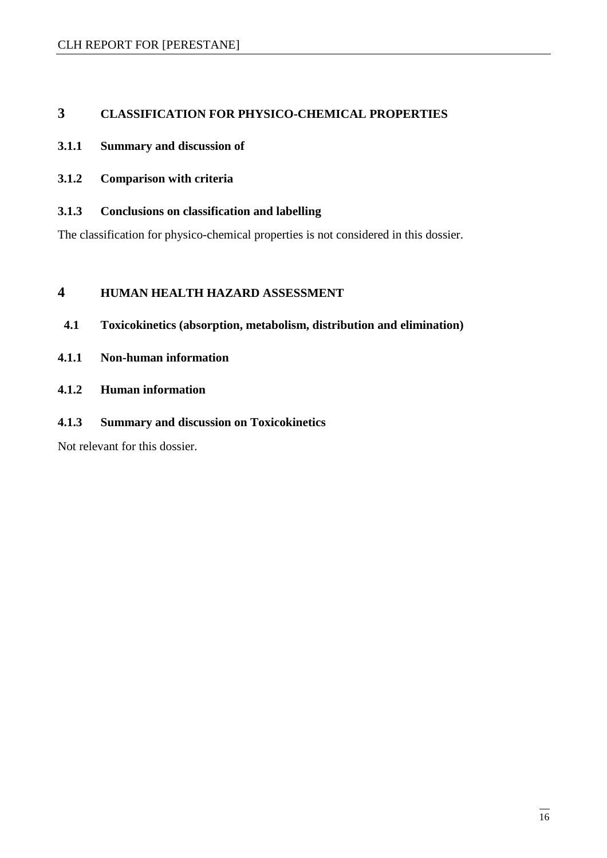#### **3 CLASSIFICATION FOR PHYSICO-CHEMICAL PROPERTIES**

#### **3.1.1 Summary and discussion of**

- **3.1.2 Comparison with criteria**
- **3.1.3 Conclusions on classification and labelling**

The classification for physico-chemical properties is not considered in this dossier.

#### **4 HUMAN HEALTH HAZARD ASSESSMENT**

- **4.1 Toxicokinetics (absorption, metabolism, distribution and elimination)**
- **4.1.1 Non-human information**
- **4.1.2 Human information**
- **4.1.3 Summary and discussion on Toxicokinetics**

Not relevant for this dossier.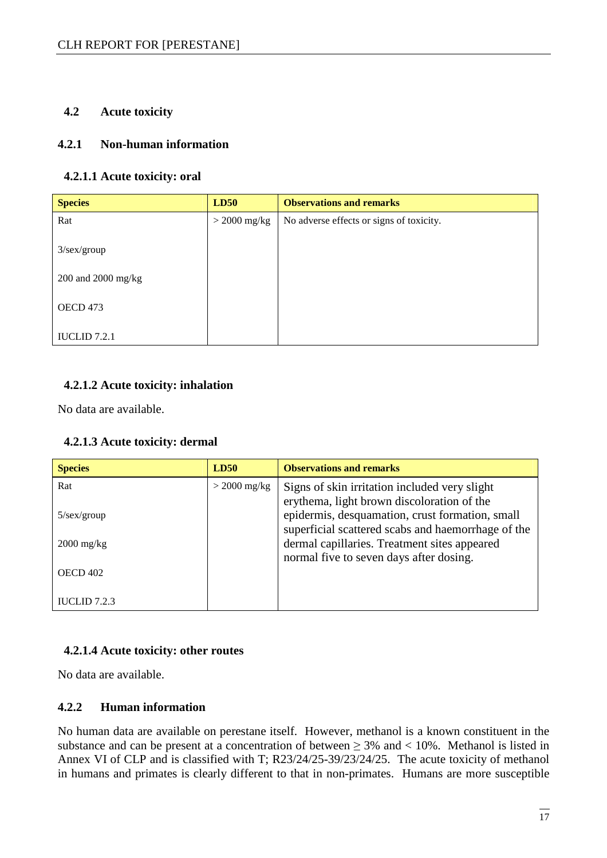#### **4.2 Acute toxicity**

#### **4.2.1 Non-human information**

#### **4.2.1.1 Acute toxicity: oral**

| <b>Species</b>     | LD50           | <b>Observations and remarks</b>          |
|--------------------|----------------|------------------------------------------|
| Rat                | $>$ 2000 mg/kg | No adverse effects or signs of toxicity. |
| $3$ /sex/group     |                |                                          |
| 200 and 2000 mg/kg |                |                                          |
| OECD 473           |                |                                          |
| IUCLID $7.2.1$     |                |                                          |

#### **4.2.1.2 Acute toxicity: inhalation**

No data are available.

#### **4.2.1.3 Acute toxicity: dermal**

| <b>Species</b>       | <b>LD50</b>    | <b>Observations and remarks</b>                                                                       |
|----------------------|----------------|-------------------------------------------------------------------------------------------------------|
| Rat                  | $>$ 2000 mg/kg | Signs of skin irritation included very slight<br>erythema, light brown discoloration of the           |
| $5/\text{sex/group}$ |                | epidermis, desquamation, crust formation, small<br>superficial scattered scabs and haemorrhage of the |
| $2000 \text{ mg/kg}$ |                | dermal capillaries. Treatment sites appeared<br>normal five to seven days after dosing.               |
| <b>OECD 402</b>      |                |                                                                                                       |
| IUCLID $7.2.3$       |                |                                                                                                       |

#### **4.2.1.4 Acute toxicity: other routes**

No data are available.

#### **4.2.2 Human information**

No human data are available on perestane itself. However, methanol is a known constituent in the substance and can be present at a concentration of between  $\geq$  3% and  $\lt$  10%. Methanol is listed in Annex VI of CLP and is classified with T; R23/24/25-39/23/24/25. The acute toxicity of methanol in humans and primates is clearly different to that in non-primates. Humans are more susceptible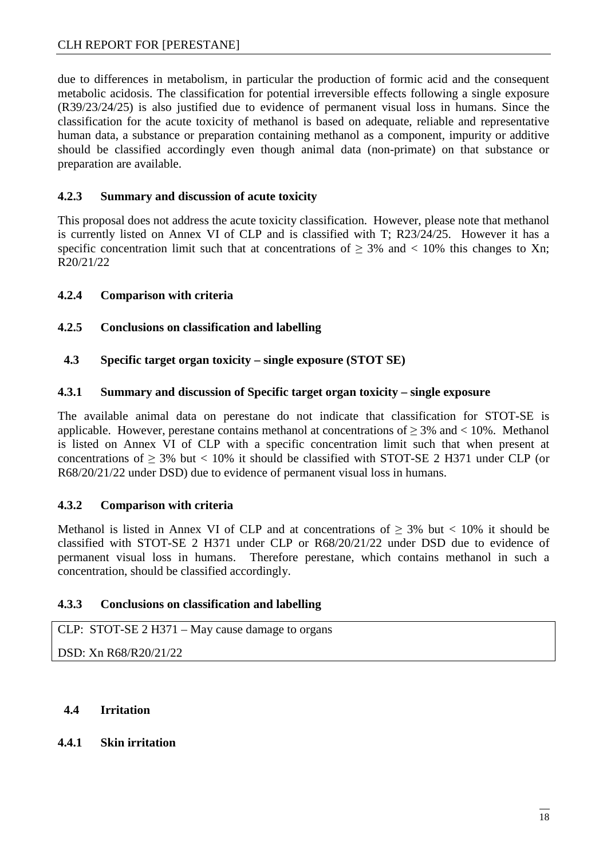due to differences in metabolism, in particular the production of formic acid and the consequent metabolic acidosis. The classification for potential irreversible effects following a single exposure (R39/23/24/25) is also justified due to evidence of permanent visual loss in humans. Since the classification for the acute toxicity of methanol is based on adequate, reliable and representative human data, a substance or preparation containing methanol as a component, impurity or additive should be classified accordingly even though animal data (non-primate) on that substance or preparation are available.

#### **4.2.3 Summary and discussion of acute toxicity**

This proposal does not address the acute toxicity classification. However, please note that methanol is currently listed on Annex VI of CLP and is classified with T; R23/24/25. However it has a specific concentration limit such that at concentrations of  $\geq$  3% and < 10% this changes to Xn; R20/21/22

#### **4.2.4 Comparison with criteria**

#### **4.2.5 Conclusions on classification and labelling**

**4.3 Specific target organ toxicity – single exposure (STOT SE)** 

#### **4.3.1 Summary and discussion of Specific target organ toxicity – single exposure**

The available animal data on perestane do not indicate that classification for STOT-SE is applicable. However, perestane contains methanol at concentrations of  $> 3\%$  and  $< 10\%$ . Methanol is listed on Annex VI of CLP with a specific concentration limit such that when present at concentrations of  $\geq$  3% but < 10% it should be classified with STOT-SE 2 H371 under CLP (or R68/20/21/22 under DSD) due to evidence of permanent visual loss in humans.

#### **4.3.2 Comparison with criteria**

Methanol is listed in Annex VI of CLP and at concentrations of  $\geq$  3% but < 10% it should be classified with STOT-SE 2 H371 under CLP or R68/20/21/22 under DSD due to evidence of permanent visual loss in humans. Therefore perestane, which contains methanol in such a concentration, should be classified accordingly.

#### **4.3.3 Conclusions on classification and labelling**

CLP: STOT-SE 2 H371 – May cause damage to organs

DSD: Xn R68/R20/21/22

#### **4.4 Irritation**

#### **4.4.1 Skin irritation**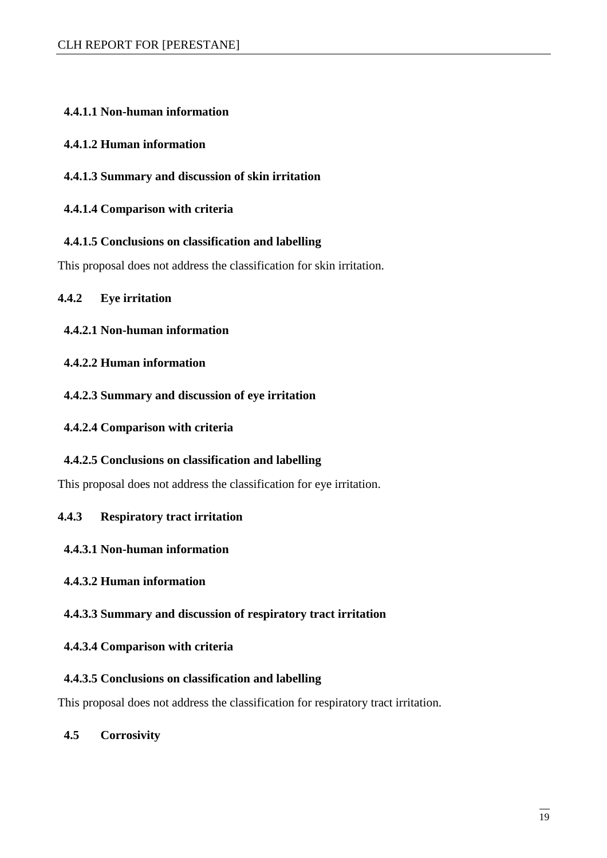#### **4.4.1.1 Non-human information**

#### **4.4.1.2 Human information**

#### **4.4.1.3 Summary and discussion of skin irritation**

#### **4.4.1.4 Comparison with criteria**

#### **4.4.1.5 Conclusions on classification and labelling**

This proposal does not address the classification for skin irritation.

#### **4.4.2 Eye irritation**

#### **4.4.2.1 Non-human information**

#### **4.4.2.2 Human information**

#### **4.4.2.3 Summary and discussion of eye irritation**

#### **4.4.2.4 Comparison with criteria**

#### **4.4.2.5 Conclusions on classification and labelling**

This proposal does not address the classification for eye irritation.

#### **4.4.3 Respiratory tract irritation**

#### **4.4.3.1 Non-human information**

#### **4.4.3.2 Human information**

#### **4.4.3.3 Summary and discussion of respiratory tract irritation**

#### **4.4.3.4 Comparison with criteria**

#### **4.4.3.5 Conclusions on classification and labelling**

This proposal does not address the classification for respiratory tract irritation.

#### **4.5 Corrosivity**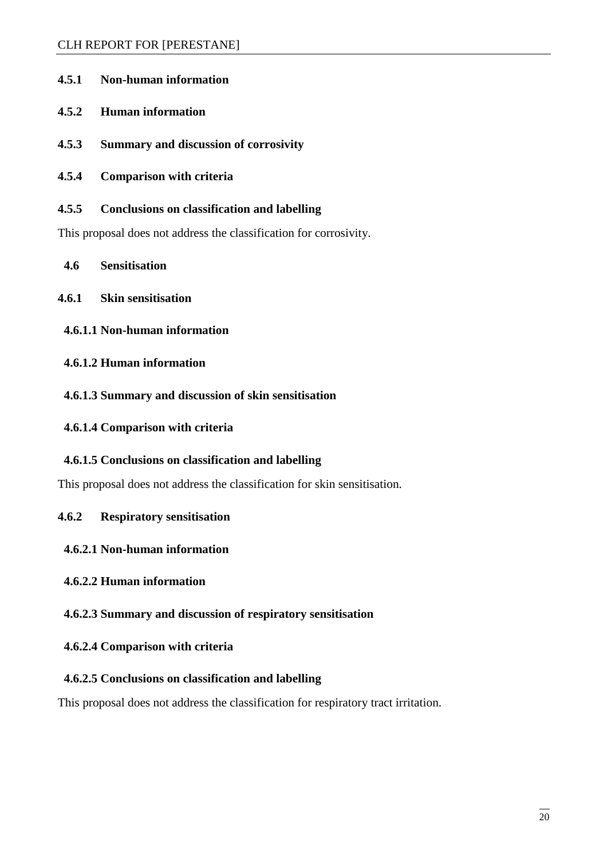| 4.5.1 | <b>Non-human information</b> |
|-------|------------------------------|
|       |                              |

- **4.5.2 Human information**
- **4.5.3 Summary and discussion of corrosivity**
- **4.5.4 Comparison with criteria**
- **4.5.5 Conclusions on classification and labelling**

This proposal does not address the classification for corrosivity.

- **4.6 Sensitisation**
- **4.6.1 Skin sensitisation** 
	- **4.6.1.1 Non-human information**
	- **4.6.1.2 Human information**
	- **4.6.1.3 Summary and discussion of skin sensitisation**
- **4.6.1.4 Comparison with criteria**

#### **4.6.1.5 Conclusions on classification and labelling**

This proposal does not address the classification for skin sensitisation.

**4.6.2 Respiratory sensitisation** 

#### **4.6.2.1 Non-human information**

#### **4.6.2.2 Human information**

#### **4.6.2.3 Summary and discussion of respiratory sensitisation**

#### **4.6.2.4 Comparison with criteria**

#### **4.6.2.5 Conclusions on classification and labelling**

This proposal does not address the classification for respiratory tract irritation.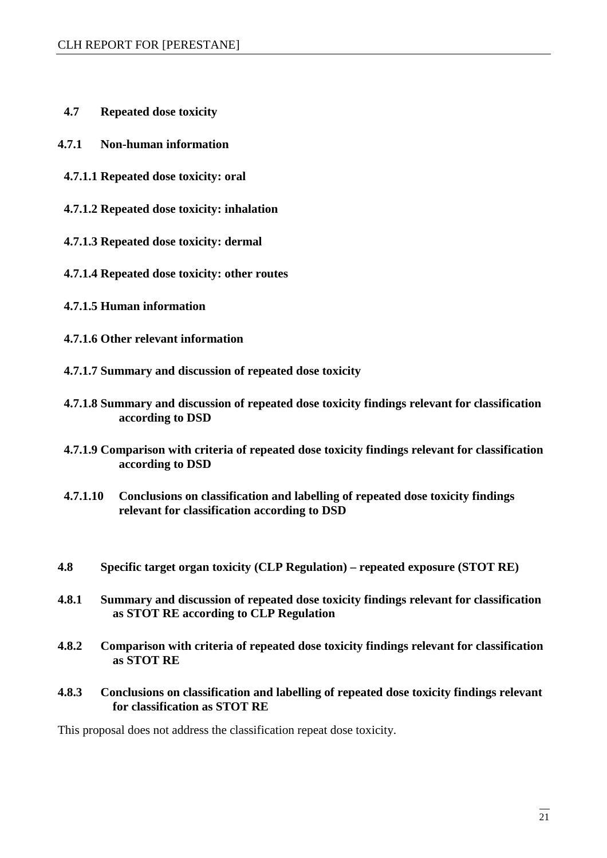- **4.7 Repeated dose toxicity**
- **4.7.1 Non-human information** 
	- **4.7.1.1 Repeated dose toxicity: oral**
	- **4.7.1.2 Repeated dose toxicity: inhalation**
	- **4.7.1.3 Repeated dose toxicity: dermal**
	- **4.7.1.4 Repeated dose toxicity: other routes**
	- **4.7.1.5 Human information**
	- **4.7.1.6 Other relevant information**
	- **4.7.1.7 Summary and discussion of repeated dose toxicity**
	- **4.7.1.8 Summary and discussion of repeated dose toxicity findings relevant for classification according to DSD**
	- **4.7.1.9 Comparison with criteria of repeated dose toxicity findings relevant for classification according to DSD**
	- **4.7.1.10 Conclusions on classification and labelling of repeated dose toxicity findings relevant for classification according to DSD**
- **4.8 Specific target organ toxicity (CLP Regulation) repeated exposure (STOT RE)**
- **4.8.1 Summary and discussion of repeated dose toxicity findings relevant for classification as STOT RE according to CLP Regulation**
- **4.8.2 Comparison with criteria of repeated dose toxicity findings relevant for classification as STOT RE**
- **4.8.3 Conclusions on classification and labelling of repeated dose toxicity findings relevant for classification as STOT RE**

This proposal does not address the classification repeat dose toxicity.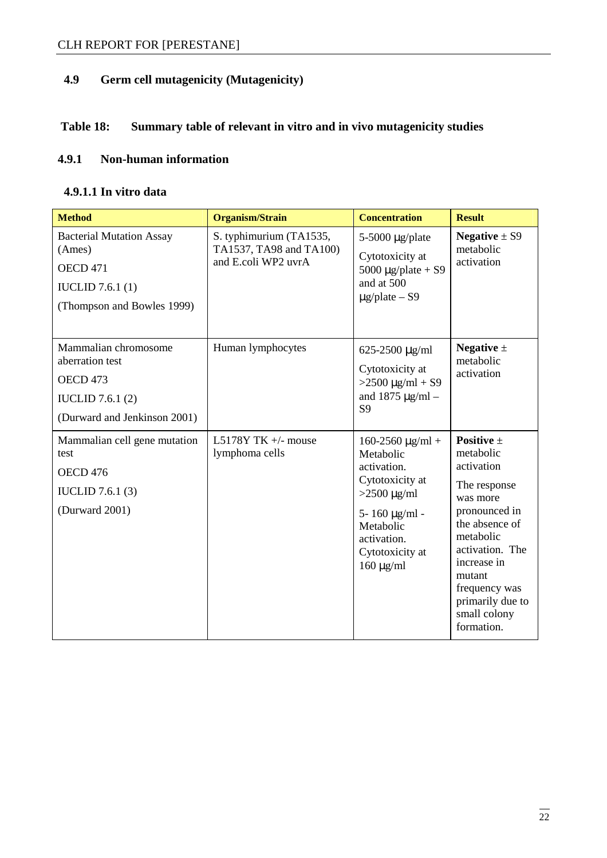## **4.9 Germ cell mutagenicity (Mutagenicity)**

## **Table 18: Summary table of relevant in vitro and in vivo mutagenicity studies**

#### **4.9.1 Non-human information**

#### **4.9.1.1 In vitro data**

| <b>Method</b>                                                                                                         | Organism/Strain                                                           | <b>Concentration</b>                                                                                                                                                              | <b>Result</b>                                                                                                                                                                                                                        |
|-----------------------------------------------------------------------------------------------------------------------|---------------------------------------------------------------------------|-----------------------------------------------------------------------------------------------------------------------------------------------------------------------------------|--------------------------------------------------------------------------------------------------------------------------------------------------------------------------------------------------------------------------------------|
| <b>Bacterial Mutation Assay</b><br>(Ames)<br><b>OECD 471</b><br><b>IUCLID</b> 7.6.1 (1)<br>(Thompson and Bowles 1999) | S. typhimurium (TA1535,<br>TA1537, TA98 and TA100)<br>and E.coli WP2 uvrA | $5-5000 \mu g$ /plate<br>Cytotoxicity at<br>5000 $\mu$ g/plate + S9<br>and at 500<br>$\mu$ g/plate – S9                                                                           | Negative $\pm$ S9<br>metabolic<br>activation                                                                                                                                                                                         |
| Mammalian chromosome<br>aberration test<br>OECD 473<br><b>IUCLID</b> 7.6.1 (2)<br>(Durward and Jenkinson 2001)        | Human lymphocytes                                                         | 625-2500 µg/ml<br>Cytotoxicity at<br>$>2500 \mu g/ml + S9$<br>and $1875 \mu g/ml -$<br>S <sub>9</sub>                                                                             | Negative $\pm$<br>metabolic<br>activation                                                                                                                                                                                            |
| Mammalian cell gene mutation<br>test<br>OECD <sub>476</sub><br><b>IUCLID</b> 7.6.1 (3)<br>(Durward 2001)              | L5178Y TK $+/-$ mouse<br>lymphoma cells                                   | $160-2560 \mu g/ml +$<br>Metabolic<br>activation.<br>Cytotoxicity at<br>$>2500 \mu g/ml$<br>$5 - 160 \mu g/ml -$<br>Metabolic<br>activation.<br>Cytotoxicity at<br>$160 \mu g/ml$ | Positive $\pm$<br>metabolic<br>activation<br>The response<br>was more<br>pronounced in<br>the absence of<br>metabolic<br>activation. The<br>increase in<br>mutant<br>frequency was<br>primarily due to<br>small colony<br>formation. |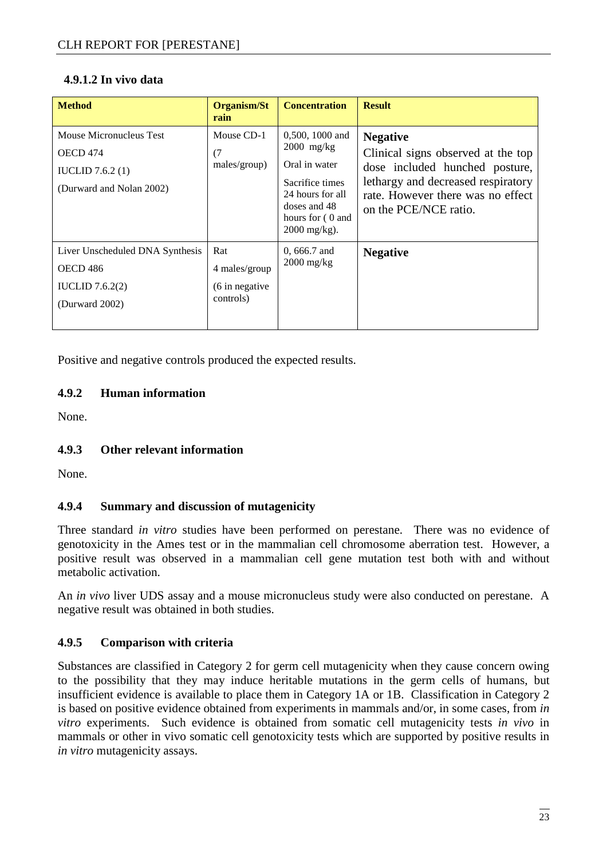#### **4.9.1.2 In vivo data**

| <b>Method</b>                                                                                | Organism/St<br>rain                                  | <b>Concentration</b>                                                                                                                                          | <b>Result</b>                                                                                                                                                                               |
|----------------------------------------------------------------------------------------------|------------------------------------------------------|---------------------------------------------------------------------------------------------------------------------------------------------------------------|---------------------------------------------------------------------------------------------------------------------------------------------------------------------------------------------|
| Mouse Micronucleus Test<br>OECD 474<br><b>IUCLID</b> 7.6.2 $(1)$<br>(Durward and Nolan 2002) | Mouse CD-1<br>(7)<br>males/group)                    | $0,500, 1000$ and<br>$2000$ mg/kg<br>Oral in water<br>Sacrifice times<br>24 hours for all<br>doses and 48<br>hours for $(0 \text{ and } 0)$<br>$2000$ mg/kg). | <b>Negative</b><br>Clinical signs observed at the top<br>dose included hunched posture,<br>lethargy and decreased respiratory<br>rate. However there was no effect<br>on the PCE/NCE ratio. |
| Liver Unscheduled DNA Synthesis<br><b>OECD 486</b><br>IUCLID $7.6.2(2)$<br>(Durward 2002)    | Rat<br>4 males/group<br>(6 in negative)<br>controls) | $0,666.7$ and<br>$2000$ mg/kg                                                                                                                                 | <b>Negative</b>                                                                                                                                                                             |

Positive and negative controls produced the expected results.

#### **4.9.2 Human information**

None.

#### **4.9.3 Other relevant information**

None.

#### **4.9.4 Summary and discussion of mutagenicity**

Three standard *in vitro* studies have been performed on perestane. There was no evidence of genotoxicity in the Ames test or in the mammalian cell chromosome aberration test. However, a positive result was observed in a mammalian cell gene mutation test both with and without metabolic activation.

An *in vivo* liver UDS assay and a mouse micronucleus study were also conducted on perestane. A negative result was obtained in both studies.

#### **4.9.5 Comparison with criteria**

Substances are classified in Category 2 for germ cell mutagenicity when they cause concern owing to the possibility that they may induce heritable mutations in the germ cells of humans, but insufficient evidence is available to place them in Category 1A or 1B. Classification in Category 2 is based on positive evidence obtained from experiments in mammals and/or, in some cases, from *in vitro* experiments. Such evidence is obtained from somatic cell mutagenicity tests *in vivo* in mammals or other in vivo somatic cell genotoxicity tests which are supported by positive results in *in vitro* mutagenicity assays.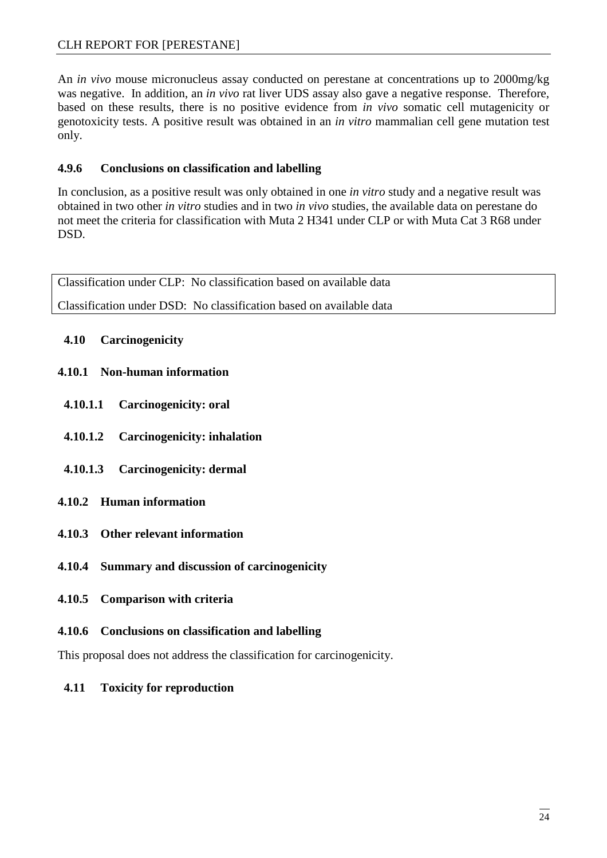#### CLH REPORT FOR [PERESTANE]

An *in vivo* mouse micronucleus assay conducted on perestane at concentrations up to 2000mg/kg was negative. In addition, an *in vivo* rat liver UDS assay also gave a negative response. Therefore, based on these results, there is no positive evidence from *in vivo* somatic cell mutagenicity or genotoxicity tests. A positive result was obtained in an *in vitro* mammalian cell gene mutation test only.

#### **4.9.6 Conclusions on classification and labelling**

In conclusion, as a positive result was only obtained in one *in vitro* study and a negative result was obtained in two other *in vitro* studies and in two *in vivo* studies, the available data on perestane do not meet the criteria for classification with Muta 2 H341 under CLP or with Muta Cat 3 R68 under DSD.

Classification under CLP: No classification based on available data Classification under DSD: No classification based on available data

#### **4.10 Carcinogenicity**

#### **4.10.1 Non-human information**

- **4.10.1.1 Carcinogenicity: oral**
- **4.10.1.2 Carcinogenicity: inhalation**
- **4.10.1.3 Carcinogenicity: dermal**
- **4.10.2 Human information**
- **4.10.3 Other relevant information**
- **4.10.4 Summary and discussion of carcinogenicity**
- **4.10.5 Comparison with criteria**
- **4.10.6 Conclusions on classification and labelling**

This proposal does not address the classification for carcinogenicity.

**4.11 Toxicity for reproduction**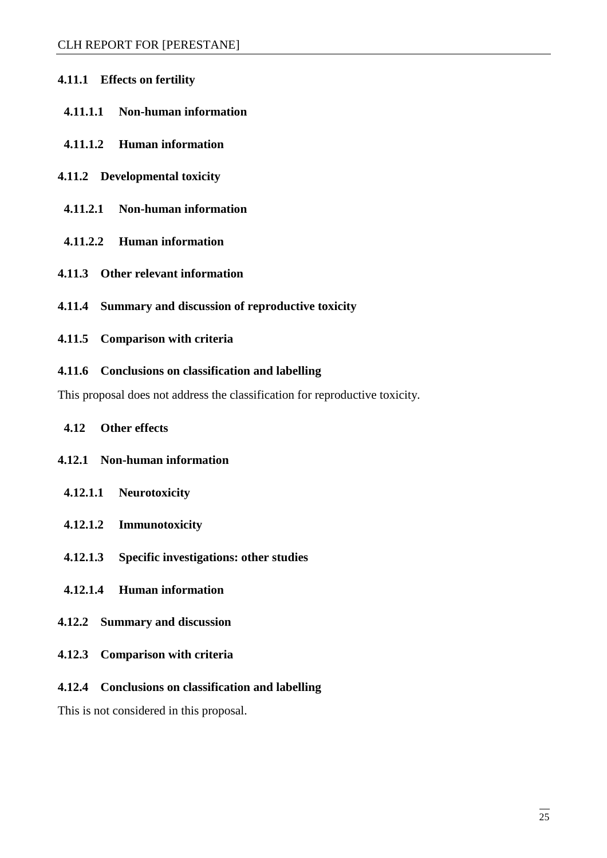- **4.11.1 Effects on fertility** 
	- **4.11.1.1 Non-human information**
	- **4.11.1.2 Human information**
- **4.11.2 Developmental toxicity**
- **4.11.2.1 Non-human information**
- **4.11.2.2 Human information**
- **4.11.3 Other relevant information**
- **4.11.4 Summary and discussion of reproductive toxicity**
- **4.11.5 Comparison with criteria**
- **4.11.6 Conclusions on classification and labelling**

This proposal does not address the classification for reproductive toxicity.

- **4.12 Other effects**
- **4.12.1 Non-human information** 
	- **4.12.1.1 Neurotoxicity**
	- **4.12.1.2 Immunotoxicity**
	- **4.12.1.3 Specific investigations: other studies**
- **4.12.1.4 Human information**
- **4.12.2 Summary and discussion**
- **4.12.3 Comparison with criteria**

#### **4.12.4 Conclusions on classification and labelling**

This is not considered in this proposal.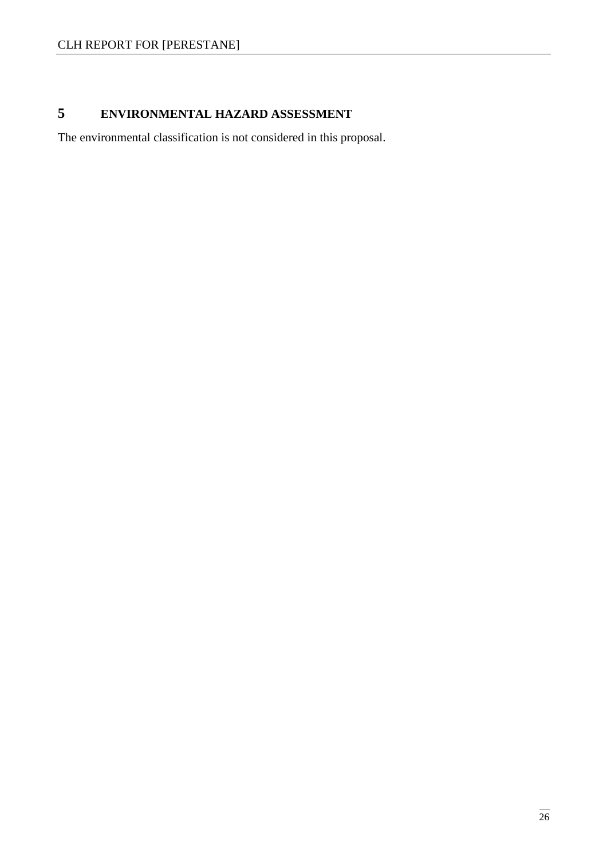## **5 ENVIRONMENTAL HAZARD ASSESSMENT**

The environmental classification is not considered in this proposal.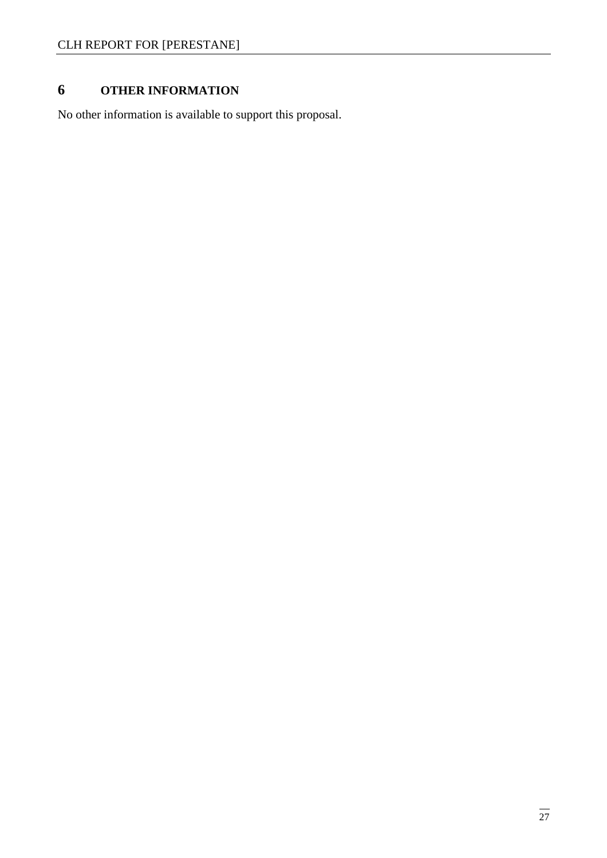# **6 OTHER INFORMATION**

No other information is available to support this proposal.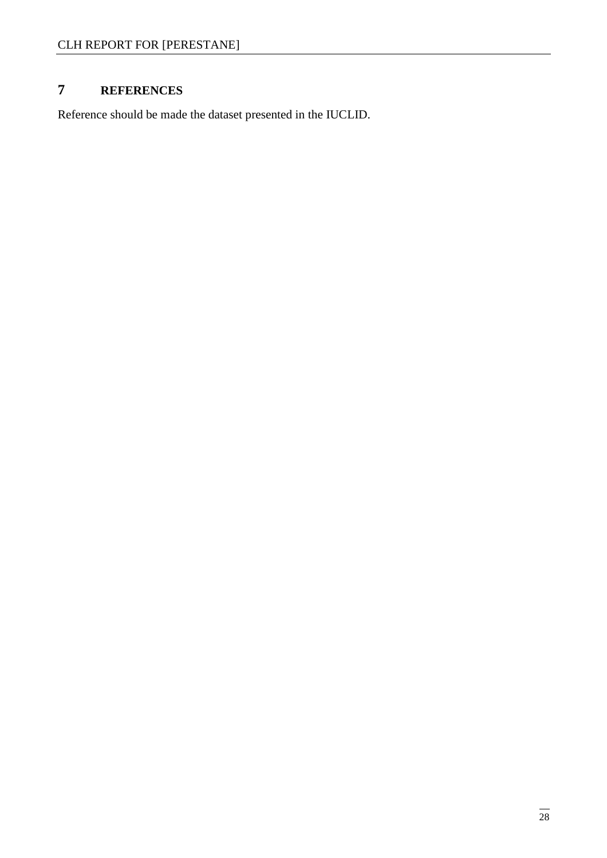## **7 REFERENCES**

Reference should be made the dataset presented in the IUCLID.